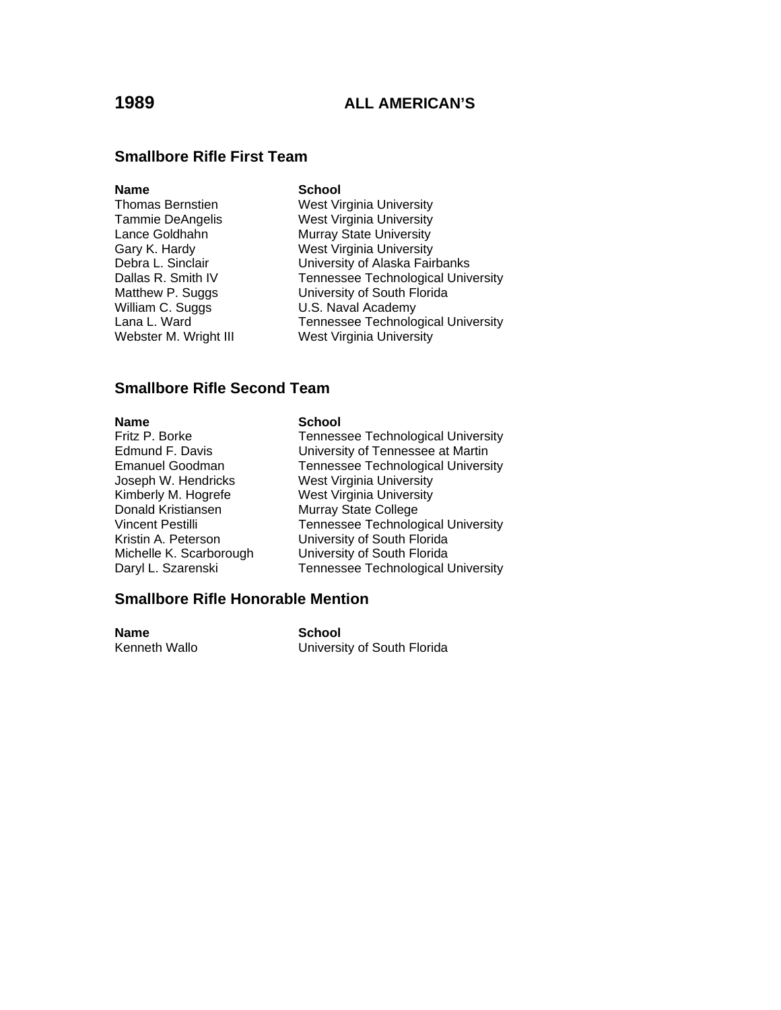### **Smallbore Rifle First Team**

### **Name** School

William C. Suggs **V.S. Naval Academy**<br>Lana L. Ward **C. S. Lange C. Lange Academy** Webster M. Wright III West Virginia University

Thomas Bernstien West Virginia University Tammie DeAngelis West Virginia University<br>Lance Goldhahn Murray State University Murray State University Gary K. Hardy **Mest Virginia University**<br>
Debra L. Sinclair **Messic University of Alaska Fair** University of Alaska Fairbanks Dallas R. Smith IV Tennessee Technological University Matthew P. Suggs University of South Florida Tennessee Technological University

### **Smallbore Rifle Second Team**

### **Name** School

| Fritz P. Borke          |
|-------------------------|
| Edmund F. Davis         |
| Emanuel Goodman         |
| Joseph W. Hendricks     |
| Kimberly M. Hogrefe     |
| Donald Kristiansen      |
| Vincent Pestilli        |
| Kristin A. Peterson     |
| Michelle K. Scarborough |
| Daryl L. Szarenski      |
|                         |

Tennessee Technological University University of Tennessee at Martin Tennessee Technological University West Virginia University West Virginia University Murray State College Tennessee Technological University University of South Florida University of South Florida Tennessee Technological University

### **Smallbore Rifle Honorable Mention**

**Name School**<br> **Kenneth Wallo Channel Control** 

University of South Florida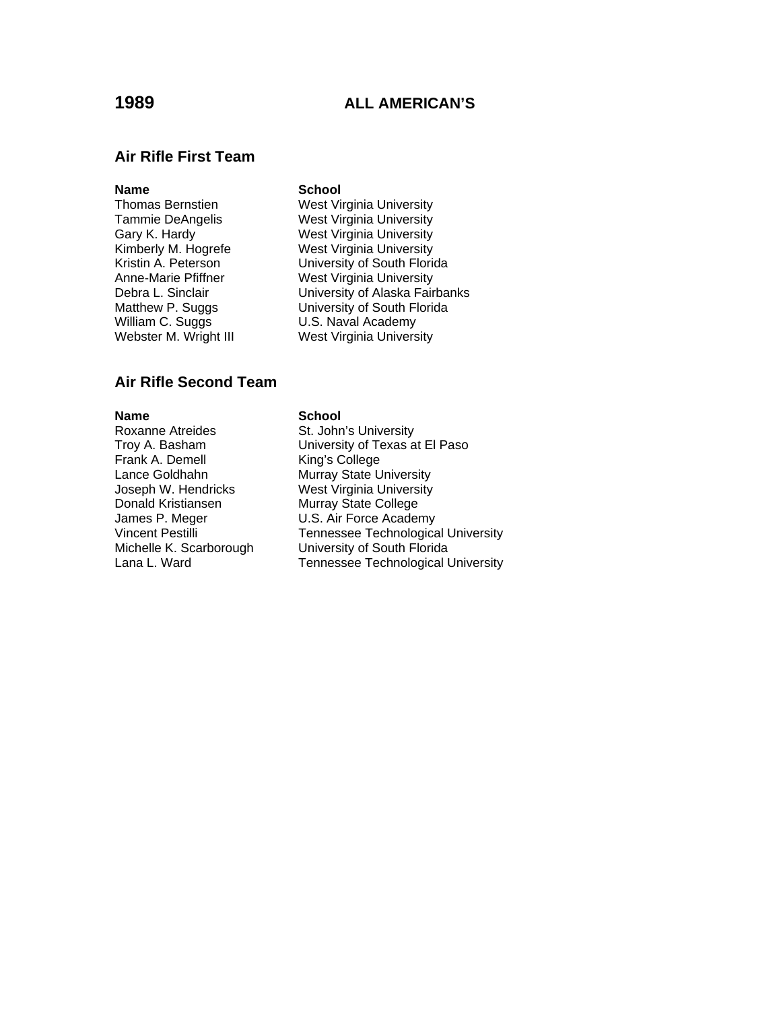### **Air Rifle First Team**

### **Name** School

- Webster M. Wright III West Virginia University
- Thomas Bernstien West Virginia University Tammie DeAngelis West Virginia University<br>Gary K. Hardy West Virginia University West Virginia University Kimberly M. Hogrefe **West Virginia University**<br>Kristin A. Peterson **M. W. University of South Flori**d Kristin A. Peterson<br>
Anne-Marie Pfiffner<br>
West Virginia University **West Virginia University** Debra L. Sinclair **University of Alaska Fairbanks** Matthew P. Suggs University of South Florida<br>
William C. Suggs U.S. Naval Academy U.S. Naval Academy

### **Air Rifle Second Team**

**Name**<br>
Roxanne Atreides<br>
St. John Frank A. Demell King's College Lance Goldhahn Murray State University Joseph W. Hendricks West Virginia University Donald Kristiansen Murray State College<br>James P. Meger U.S. Air Force Acader James P. Meger **U.S. Air Force Academy**<br>Vincent Pestilli **Company** Tennessee Technologica

St. John's University Troy A. Basham University of Texas at El Paso Tennessee Technological University Michelle K. Scarborough University of South Florida Lana L. Ward **Tennessee Technological University**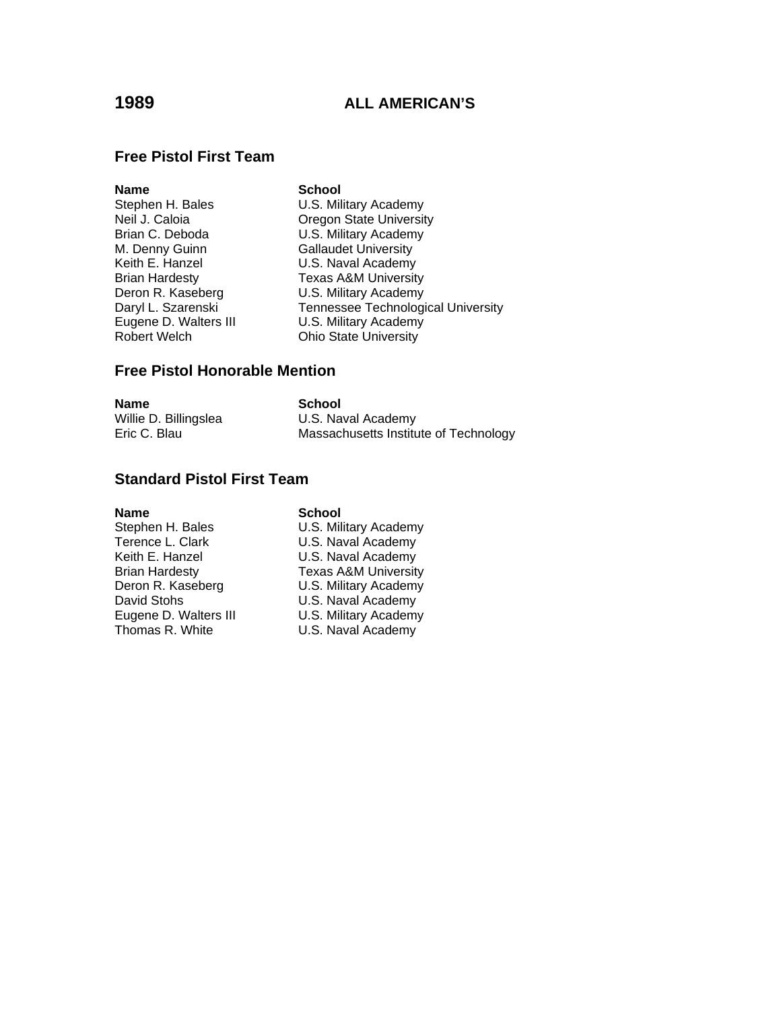## **Free Pistol First Team**

| <b>Name</b>           | <b>School</b>                      |
|-----------------------|------------------------------------|
| Stephen H. Bales      | U.S. Military Academy              |
| Neil J. Caloia        | <b>Oregon State University</b>     |
| Brian C. Deboda       | U.S. Military Academy              |
| M. Denny Guinn        | <b>Gallaudet University</b>        |
| Keith E. Hanzel       | U.S. Naval Academy                 |
| <b>Brian Hardesty</b> | <b>Texas A&amp;M University</b>    |
| Deron R. Kaseberg     | U.S. Military Academy              |
| Daryl L. Szarenski    | Tennessee Technological University |
| Eugene D. Walters III | U.S. Military Academy              |
| <b>Robert Welch</b>   | <b>Ohio State University</b>       |
|                       |                                    |

## **Free Pistol Honorable Mention**

| <b>Name</b>           | School                                |
|-----------------------|---------------------------------------|
| Willie D. Billingslea | U.S. Naval Academy                    |
| Eric C. Blau          | Massachusetts Institute of Technology |

# **Standard Pistol First Team**

### **Name** School

| Stephen H. Bales      | U.S. Military Academy          |
|-----------------------|--------------------------------|
| Terence L. Clark      | U.S. Naval Academy             |
| Keith E. Hanzel       | U.S. Naval Academy             |
| <b>Brian Hardesty</b> | <b>Texas A&amp;M Universit</b> |
| Deron R. Kaseberg     | U.S. Military Academy          |
| David Stohs           | U.S. Naval Academy             |
| Eugene D. Walters III | U.S. Military Academy          |
| Thomas R. White       | U.S. Naval Academy             |

Stephen H. Bales **U.S. Military Academy** U.S. Naval Academy Brian Hardesty Texas A&M University Deron R. Kaseberg **U.S. Military Academy** U.S. Naval Academy Eugene D. Walters III **Communist COL**S. Military Academy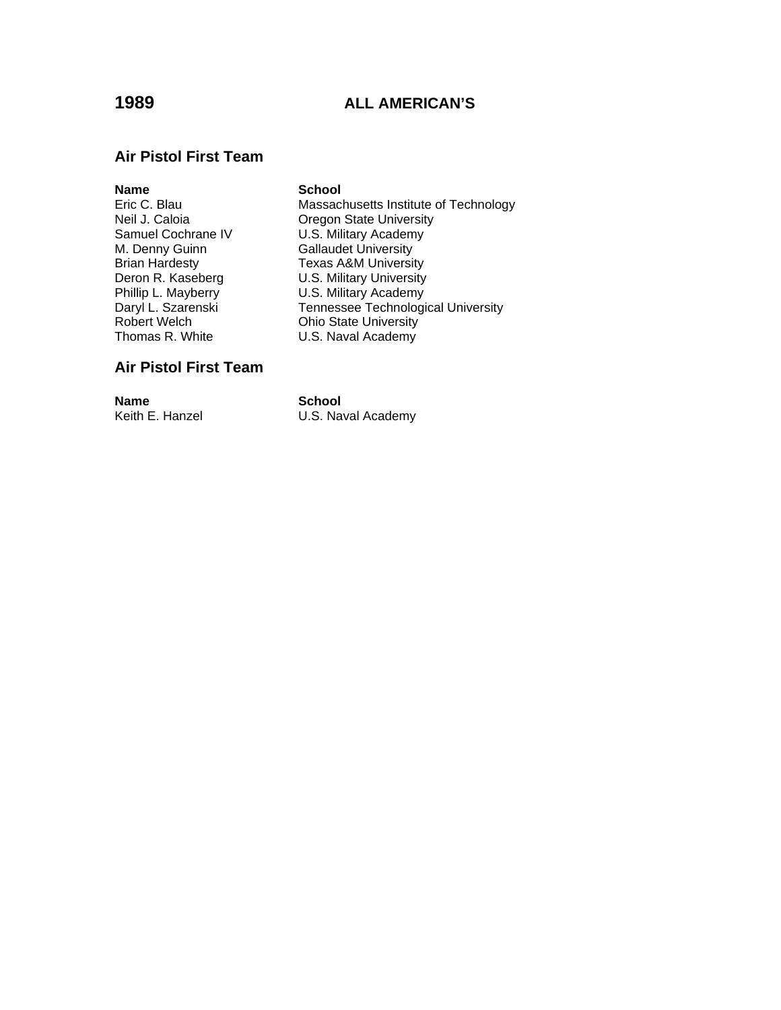### **Air Pistol First Team**

**Name** School<br>
Eric C. Blau **School**<br>
Massacl M. Denny Guinn Gallaudet University<br>Brian Hardesty Gallaudet University

Massachusetts Institute of Technology Neil J. Caloia Caloia<br>
Samuel Cochrane IV Coss, Military Academy U.S. Military Academy Brian Hardesty<br>
Deron R. Kaseberg<br>
U.S. Military University **U.S. Military University** Phillip L. Mayberry **U.S. Military Academy**<br>
Daryl L. Szarenski **M. Tennessee Technologi** Daryl L. Szarenski **Tennessee Technological University**<br>
Robert Welch **Chinage Communist Communist Communist Communist Communist Communist Robert Welch** Robert Welch **Ching Ching Chio State University**<br>Thomas R. White **Ching Ching Ching U.S. Naval Academy** U.S. Naval Academy

## **Air Pistol First Team**

**Name School**<br> **Keith E. Hanzel C.S. Name C.S. Name** U.S. Naval Academy